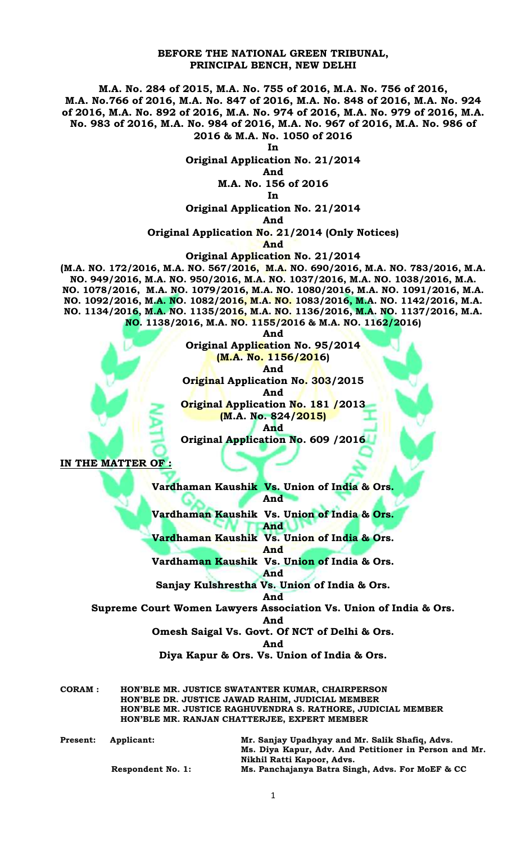## **BEFORE THE NATIONAL GREEN TRIBUNAL, PRINCIPAL BENCH, NEW DELHI**

**M.A. No. 284 of 2015, M.A. No. 755 of 2016, M.A. No. 756 of 2016, M.A. No.766 of 2016, M.A. No. 847 of 2016, M.A. No. 848 of 2016, M.A. No. 924 of 2016, M.A. No. 892 of 2016, M.A. No. 974 of 2016, M.A. No. 979 of 2016, M.A. No. 983 of 2016, M.A. No. 984 of 2016, M.A. No. 967 of 2016, M.A. No. 986 of 2016 & M.A. No. 1050 of 2016**

**In**

**Original Application No. 21/2014**

**And M.A. No. 156 of 2016**

**In** 

**Original Application No. 21/2014**

**And** 

**Original Application No. 21/2014 (Only Notices)**

**And**

**Original Application No. 21/2014**

**(M.A. NO. 172/2016, M.A. NO. 567/2016, M.A. NO. 690/2016, M.A. NO. 783/2016, M.A. NO. 949/2016, M.A. NO. 950/2016, M.A. NO. 1037/2016, M.A. NO. 1038/2016, M.A. NO. 1078/2016, M.A. NO. 1079/2016, M.A. NO. 1080/2016, M.A. NO. 1091/2016, M.A. NO. 1092/2016, M.A. NO. 1082/2016, M.A. NO. 1083/2016, M.A. NO. 1142/2016, M.A. NO. 1134/2016, M.A. NO. 1135/2016, M.A. NO. 1136/2016, M.A. NO. 1137/2016, M.A. NO. 1138/2016, M.A. NO. 1155/2016 & M.A. NO. 1162/2016)**

**And** 

**Original Application No. 95/2014 (M.A. No. 1156/2016) And Original Application No. 303/2015 And Original Application No. 181 /2013 (M.A. No. 824/2015) And Original Application No. 609 /2016**

**IN THE MATTER OF :**

**Vardhaman Kaushik Vs. Union of India & Ors. And** 

**Vardhaman Kaushik Vs. Union of India & Ors. And** 

**Vardhaman Kaushik Vs. Union of India & Ors.**

**And** 

**Vardhaman Kaushik Vs. Union of India & Ors. And** 

**Sanjay Kulshrestha Vs. Union of India & Ors.**

**And** 

**Supreme Court Women Lawyers Association Vs. Union of India & Ors.** 

**And** 

**Omesh Saigal Vs. Govt. Of NCT of Delhi & Ors.** 

**And** 

**Diya Kapur & Ors. Vs. Union of India & Ors.** 

**CORAM : HON'BLE MR. JUSTICE SWATANTER KUMAR, CHAIRPERSON HON'BLE DR. JUSTICE JAWAD RAHIM, JUDICIAL MEMBER HON'BLE MR. JUSTICE RAGHUVENDRA S. RATHORE, JUDICIAL MEMBER HON'BLE MR. RANJAN CHATTERJEE, EXPERT MEMBER**

| <b>Present:</b> | Applicant:               | Mr. Sanjay Upadhyay and Mr. Salik Shafiq, Advs.       |
|-----------------|--------------------------|-------------------------------------------------------|
|                 |                          | Ms. Diya Kapur, Adv. And Petitioner in Person and Mr. |
|                 |                          | Nikhil Ratti Kapoor, Advs.                            |
|                 | <b>Respondent No. 1:</b> | Ms. Panchajanya Batra Singh, Advs. For MoEF & CC      |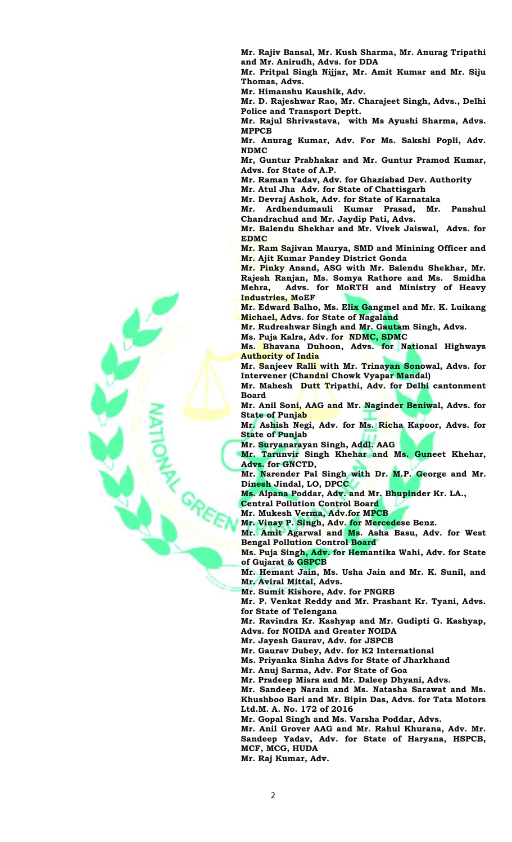**Mr. Rajiv Bansal, Mr. Kush Sharma, Mr. Anurag Tripathi and Mr. Anirudh, Advs. for DDA**

**Mr. Pritpal Singh Nijjar, Mr. Amit Kumar and Mr. Siju Thomas, Advs.**

**Mr. Himanshu Kaushik, Adv.**

**Mr. D. Rajeshwar Rao, Mr. Charajeet Singh, Advs., Delhi Police and Transport Deptt.**

**Mr. Rajul Shrivastava, with Ms Ayushi Sharma, Advs. MPPCB**

**Mr. Anurag Kumar, Adv. For Ms. Sakshi Popli, Adv. NDMC**

**Mr, Guntur Prabhakar and Mr. Guntur Pramod Kumar, Advs. for State of A.P.**

**Mr. Raman Yadav, Adv. for Ghaziabad Dev. Authority**

**Mr. Atul Jha Adv. for State of Chattisgarh**

**Mr. Devraj Ashok, Adv. for State of Karnataka**

**Mr. Ardhendumauli Kumar Prasad, Mr. Panshul Chandrachud and Mr. Jaydip Pati, Advs.** 

**Mr. Balendu Shekhar and Mr. Vivek Jaiswal, Advs. for EDMC**

**Mr. Ram Sajivan Maurya, SMD and Minining Officer and Mr. Ajit Kumar Pandey District Gonda**

**Mr. Pinky Anand, ASG with Mr. Balendu Shekhar, Mr. Rajesh Ranjan, Ms. Somya Rathore and Ms. Smidha Mehra, Advs. for MoRTH and Ministry of Heavy Industries, MoEF**

**Mr. Edward Balho, Ms. Elix Gangmel and Mr. K. Luikang Michael, Advs. for State of Nagaland**

**Mr. Rudreshwar Singh and Mr. Gautam Singh, Advs.**

**Ms. Puja Kalra, Adv. for NDMC, SDMC**

**Ms. Bhavana Duhoon, Advs. for National Highways Authority of India**

**Mr. Sanjeev Ralli with Mr. Trinayan Sonowal, Advs. for Intervener (Chandni Chowk Vyapar Mandal)**

**Mr. Mahesh Dutt Tripathi, Adv. for Delhi cantonment Board**

**Mr. Anil Soni, AAG and Mr. Naginder Beniwal, Advs. for State of Punjab** 

**Mr. Ashish Negi, Adv. for Ms. Richa Kapoor, Advs. for State of Punjab** 

**Mr. Suryanarayan Singh, Addl. AAG**

**Mr. Tarunvir Singh Khehar and Ms. Guneet Khehar, Advs. for GNCTD,** 

**Mr. Narender Pal Singh with Dr. M.P. George and Mr. Dinesh Jindal, LO, DPCC**

**Ms. Alpana Poddar, Adv. and Mr. Bhupinder Kr. LA.,**

**Central Pollution Control Board** 

**Mr. Mukesh Verma, Adv.for MPCB**

**Mr. Vinay P. Singh, Adv. for Mercedese Benz.**

**Mr. Amit Agarwal and Ms. Asha Basu, Adv. for West Bengal Pollution Control Board** 

**Ms. Puja Singh, Adv. for Hemantika Wahi, Adv. for State of Gujarat & GSPCB** 

**Mr. Hemant Jain, Ms. Usha Jain and Mr. K. Sunil, and Mr. Aviral Mittal, Advs.**

**Mr. Sumit Kishore, Adv. for PNGRB**

**Mr. P. Venkat Reddy and Mr. Prashant Kr. Tyani, Advs. for State of Telengana**

**Mr. Ravindra Kr. Kashyap and Mr. Gudipti G. Kashyap, Advs. for NOIDA and Greater NOIDA**

**Mr. Jayesh Gaurav, Adv. for JSPCB**

**Mr. Gaurav Dubey, Adv. for K2 International**

**Ms. Priyanka Sinha Advs for State of Jharkhand**

**Mr. Anuj Sarma, Adv. For State of Goa**

**Mr. Pradeep Misra and Mr. Daleep Dhyani, Advs.**

**Mr. Sandeep Narain and Ms. Natasha Sarawat and Ms. Khushboo Bari and Mr. Bipin Das, Advs. for Tata Motors Ltd.M. A. No. 172 of 2016**

**Mr. Gopal Singh and Ms. Varsha Poddar, Advs.**

**Mr. Anil Grover AAG and Mr. Rahul Khurana, Adv. Mr.** 

**Sandeep Yadav, Adv. for State of Haryana, HSPCB, MCF, MCG, HUDA** 

**Mr. Raj Kumar, Adv.**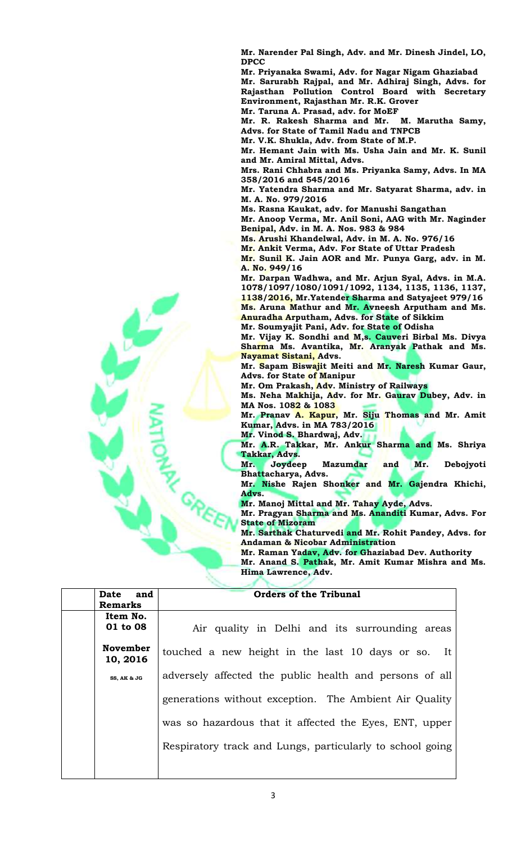**Mr. Narender Pal Singh, Adv. and Mr. Dinesh Jindel, LO, DPCC**

**Mr. Priyanaka Swami, Adv. for Nagar Nigam Ghaziabad**

**Mr. Sarurabh Rajpal, and Mr. Adhiraj Singh, Advs. for Rajasthan Pollution Control Board with Secretary Environment, Rajasthan Mr. R.K. Grover**

**Mr. Taruna A. Prasad, adv. for MoEF**

**Mr. R. Rakesh Sharma and Mr. M. Marutha Samy, Advs. for State of Tamil Nadu and TNPCB**

**Mr. V.K. Shukla, Adv. from State of M.P.**

**Mr. Hemant Jain with Ms. Usha Jain and Mr. K. Sunil and Mr. Amiral Mittal, Advs.**

**Mrs. Rani Chhabra and Ms. Priyanka Samy, Advs. In MA 358/2016 and 545/2016** 

**Mr. Yatendra Sharma and Mr. Satyarat Sharma, adv. in M. A. No. 979/2016**

**Ms. Rasna Kaukat, adv. for Manushi Sangathan**

**Mr. Anoop Verma, Mr. Anil Soni, AAG with Mr. Naginder Benipal, Adv. in M. A. Nos. 983 & 984** 

**Ms. Arushi Khandelwal, Adv. in M. A. No. 976/16**

**Mr. Ankit Verma, Adv. For State of Uttar Pradesh** 

**Mr. Sunil K. Jain AOR and Mr. Punya Garg, adv. in M. A. No. 949/16**

**Mr. Darpan Wadhwa, and Mr. Arjun Syal, Advs. in M.A. 1078/1097/1080/1091/1092, 1134, 1135, 1136, 1137, 1138/2016, Mr.Yatender Sharma and Satyajeet 979/16 Ms. Aruna Mathur and Mr. Avneesh Arputham and Ms. Anuradha Arputham, Advs. for State of Sikkim** 

**Mr. Soumyajit Pani, Adv. for State of Odisha**

**Mr. Vijay K. Sondhi and M,s. Cauveri Birbal Ms. Divya Sharma Ms. Avantika, Mr. Aranyak Pathak and Ms. Nayamat Sistani, Advs.**

**Mr. Sapam Biswajit Meiti and Mr. Naresh Kumar Gaur, Advs. for State of Manipur**

**Mr. Om Prakash, Adv. Ministry of Railways**

**Ms. Neha Makhija, Adv. for Mr. Gaurav Dubey, Adv. in MA Nos. 1082 & 1083**

**Mr. Pranav A. Kapur, Mr. Siju Thomas and Mr. Amit Kumar, Advs. in MA 783/2016**

**Mr. Vinod S. Bhardwaj, Adv. Mr. A.R. Takkar, Mr. Ankur Sharma and Ms. Shriya Takkar, Advs.** 

**Mr. Joydeep Mazumdar and Mr. Debojyoti Bhattacharya, Advs.** 

**Mr. Nishe Rajen Shonker and Mr. Gajendra Khichi, Advs.** 

**Mr. Manoj Mittal and Mr. Tahay Ayde, Advs.** 

**Mr. Pragyan Sharma and Ms. Ananditi Kumar, Advs. For State of Mizoram**

**Mr. Sarthak Chaturvedi and Mr. Rohit Pandey, Advs. for Andaman & Nicobar Administration**

**Mr. Raman Yadav, Adv. for Ghaziabad Dev. Authority**

**Mr. Anand S. Pathak, Mr. Amit Kumar Mishra and Ms. Hima Lawrence, Adv.**

| Date and             | <b>Orders of the Tribunal</b>                             |
|----------------------|-----------------------------------------------------------|
| <b>Remarks</b>       |                                                           |
| Item No.<br>01 to 08 | Air quality in Delhi and its surrounding areas            |
| November<br>10, 2016 | touched a new height in the last 10 days or so. It        |
| SS, AK & JG          | adversely affected the public health and persons of all   |
|                      | generations without exception. The Ambient Air Quality    |
|                      | was so hazardous that it affected the Eyes, ENT, upper    |
|                      | Respiratory track and Lungs, particularly to school going |
|                      |                                                           |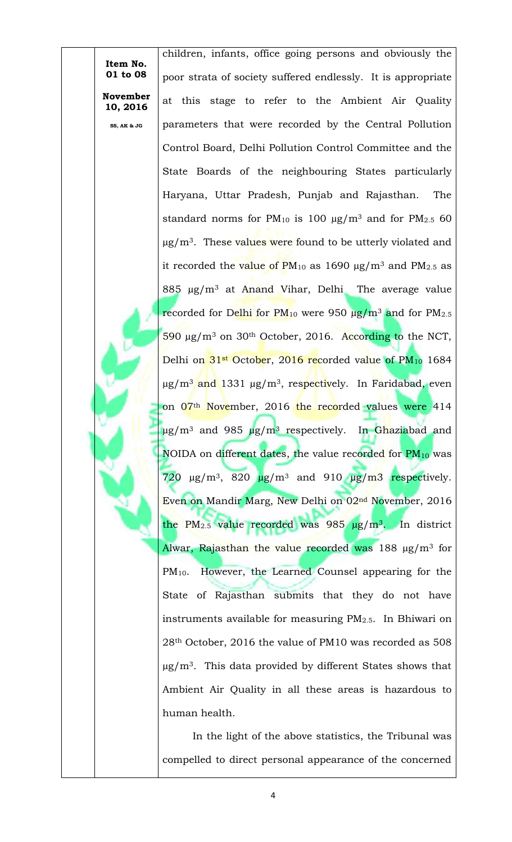children, infants, office going persons and obviously the poor strata of society suffered endlessly. It is appropriate at this stage to refer to the Ambient Air Quality parameters that were recorded by the Central Pollution Control Board, Delhi Pollution Control Committee and the State Boards of the neighbouring States particularly Haryana, Uttar Pradesh, Punjab and Rajasthan. The standard norms for PM<sub>10</sub> is 100  $\mu$ g/m<sup>3</sup> and for PM<sub>2.5</sub> 60  $\mu$ g/m<sup>3</sup>. These values were found to be utterly violated and it recorded the value of  $PM_{10}$  as 1690  $\mu$ g/m<sup>3</sup> and  $PM_{2.5}$  as 885  $\mu$ g/m<sup>3</sup> at Anand Vihar, Delhi The average value recorded for Delhi for  $PM_{10}$  were 950  $\mu$ g/m<sup>3</sup> and for PM<sub>2.5</sub> 590 µg/m<sup>3</sup> on 30th October, 2016. According to the NCT, Delhi on  $31st$  October, 2016 recorded value of  $PM_{10}$  1684 µg/m<sup>3</sup> and 1331 µg/m3, respectively. In Faridabad, even on 07<sup>th</sup> November, 2016 the recorded values were 414  $\mu$ g/m<sup>3</sup> and 985  $\mu$ g/m<sup>3</sup> respectively. In Ghaziabad and NOIDA on different dates, the value recorded for  $PM_{10}$  was 720  $\mu$ g/m<sup>3</sup>, 820  $\mu$ g/m<sup>3</sup> and 910  $\mu$ g/m<sup>3</sup> respectively. Even on Mandir Marg, New Delhi on 02nd November, 2016 the PM<sub>2.5</sub> value recorded was 985  $\mu$ g/m<sup>3</sup>. In district Alwar, Rajasthan the value recorded was  $188 \mu g/m^3$  for PM10. However, the Learned Counsel appearing for the State of Rajasthan submits that they do not have instruments available for measuring PM2.5. In Bhiwari on 28th October, 2016 the value of PM10 was recorded as 508  $\mu$ g/m<sup>3</sup>. This data provided by different States shows that Ambient Air Quality in all these areas is hazardous to human health.

**Item No. 01 to 08**

**November 10, 2016**

**SS, AK & JG**

In the light of the above statistics, the Tribunal was compelled to direct personal appearance of the concerned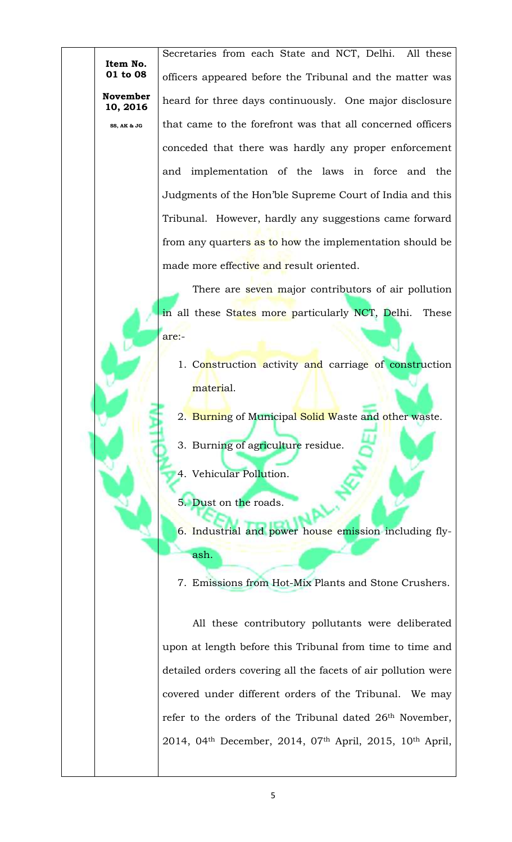**10, 2016 SS, AK & JG**

**November** 

Secretaries from each State and NCT, Delhi. All these officers appeared before the Tribunal and the matter was heard for three days continuously. One major disclosure that came to the forefront was that all concerned officers conceded that there was hardly any proper enforcement and implementation of the laws in force and the Judgments of the Hon'ble Supreme Court of India and this Tribunal. However, hardly any suggestions came forward from any quarters as to how the implementation should be made more effective and result oriented.

There are seven major contributors of air pollution in all these States more particularly NCT, Delhi. These are:-

- 1. Construction activity and carriage of construction material.
- 2. Burning of Municipal Solid Waste and other waste.
- 3. Burning of agriculture residue.
- 4. Vehicular Pollution.
- 5. Dust on the roads.
- 6. Industrial and power house emission including flyash.
- 7. Emissions from Hot-Mix Plants and Stone Crushers.

All these contributory pollutants were deliberated upon at length before this Tribunal from time to time and detailed orders covering all the facets of air pollution were covered under different orders of the Tribunal. We may refer to the orders of the Tribunal dated 26<sup>th</sup> November, 2014, 04th December, 2014, 07th April, 2015, 10th April,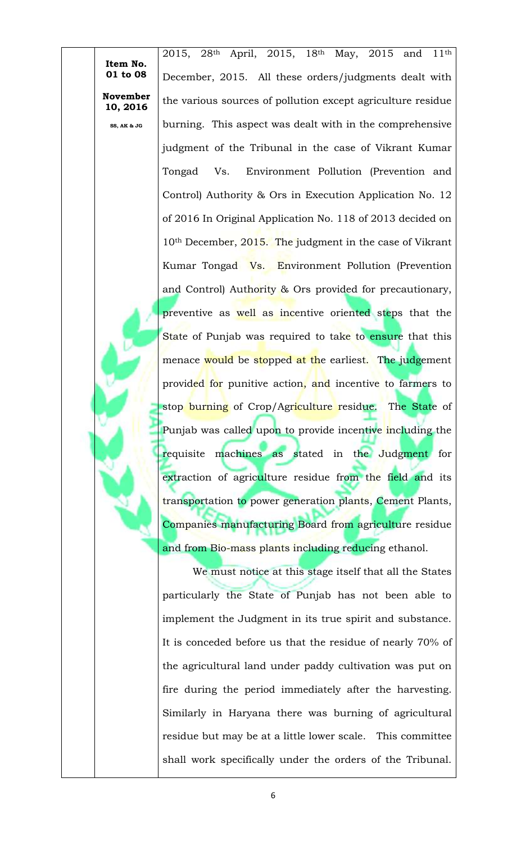2015, 28<sup>th</sup> April, 2015, 18<sup>th</sup> May, 2015 and 11<sup>th</sup> December, 2015. All these orders/judgments dealt with the various sources of pollution except agriculture residue burning. This aspect was dealt with in the comprehensive judgment of the Tribunal in the case of Vikrant Kumar Tongad Vs. Environment Pollution (Prevention and Control) Authority & Ors in Execution Application No. 12 of 2016 In Original Application No. 118 of 2013 decided on 10<sup>th</sup> December, 2015. The judgment in the case of Vikrant Kumar Tongad Vs. Environment Pollution (Prevention and Control) Authority & Ors provided for precautionary, preventive as well as incentive oriented steps that the State of Punjab was required to take to ensure that this menace would be stopped at the earliest. The judgement provided for punitive action, and incentive to farmers to stop burning of Crop/Agriculture residue. The State of Punjab was called upon to provide incentive including the requisite machines as stated in the Judgment for extraction of agriculture residue from the field and its transportation to power generation plants, Cement Plants, Companies manufacturing Board from agriculture residue and from Bio-mass plants including reducing ethanol.

**Item No. 01 to 08**

**November 10, 2016**

**SS, AK & JG**

We must notice at this stage itself that all the States particularly the State of Punjab has not been able to implement the Judgment in its true spirit and substance. It is conceded before us that the residue of nearly 70% of the agricultural land under paddy cultivation was put on fire during the period immediately after the harvesting. Similarly in Haryana there was burning of agricultural residue but may be at a little lower scale. This committee shall work specifically under the orders of the Tribunal.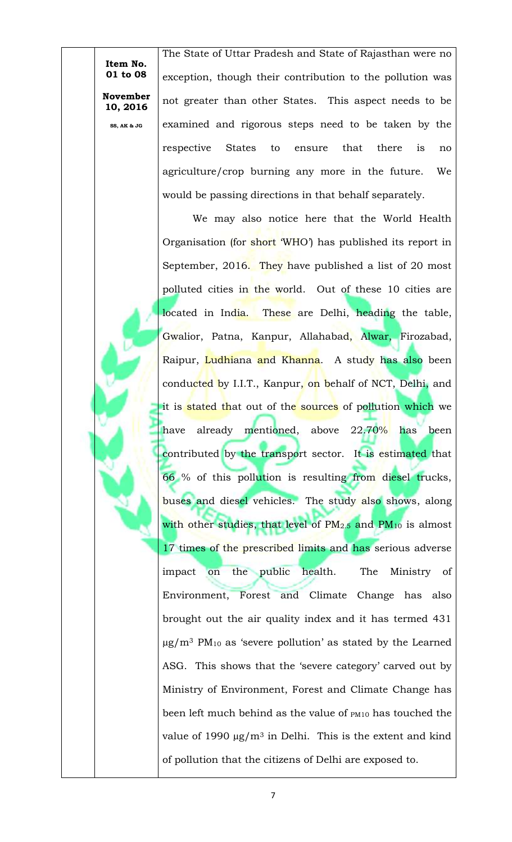**10, 2016 SS, AK & JG**

**November** 

The State of Uttar Pradesh and State of Rajasthan were no exception, though their contribution to the pollution was not greater than other States. This aspect needs to be examined and rigorous steps need to be taken by the respective States to ensure that there is no agriculture/crop burning any more in the future. We would be passing directions in that behalf separately.

We may also notice here that the World Health Organisation (for short 'WHO') has published its report in September, 2016. They have published a list of 20 most polluted cities in the world. Out of these 10 cities are located in India. These are Delhi, heading the table, Gwalior, Patna, Kanpur, Allahabad, Alwar, Firozabad, Raipur, Ludhiana and Khanna. A study has also been conducted by I.I.T., Kanpur, on behalf of NCT, Delhi, and it is stated that out of the sources of pollution which we have already mentioned, above 22.70% has been contributed by the transport sector. It is estimated that 66 % of this pollution is resulting from diesel trucks, buses and diesel vehicles. The study also shows, along with other studies, that level of  $PM_{2.5}$  and  $PM_{10}$  is almost 17 times of the prescribed limits and has serious adverse impact on the public health. The Ministry of Environment, Forest and Climate Change has also brought out the air quality index and it has termed 431  $\mu$ g/m<sup>3</sup> PM<sub>10</sub> as 'severe pollution' as stated by the Learned ASG. This shows that the 'severe category' carved out by Ministry of Environment, Forest and Climate Change has been left much behind as the value of PM10 has touched the value of 1990  $\mu$ g/m<sup>3</sup> in Delhi. This is the extent and kind of pollution that the citizens of Delhi are exposed to.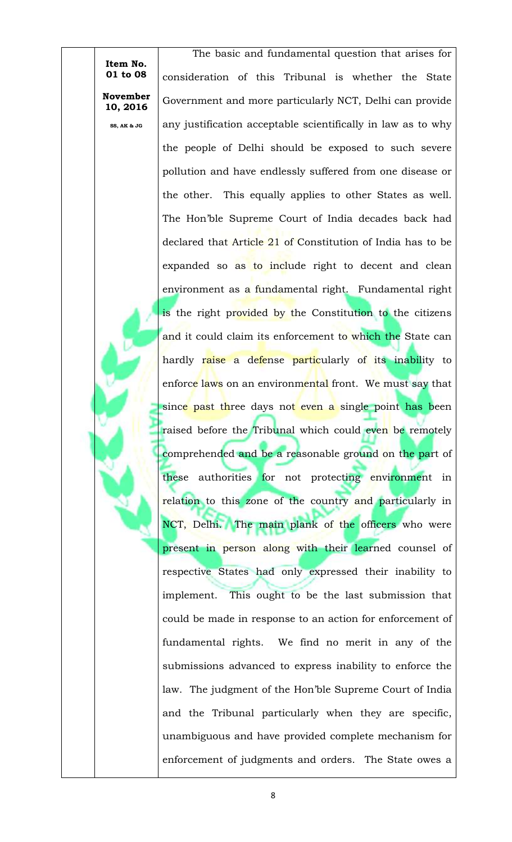**November**  The basic and fundamental question that arises for consideration of this Tribunal is whether the State Government and more particularly NCT, Delhi can provide any justification acceptable scientifically in law as to why the people of Delhi should be exposed to such severe pollution and have endlessly suffered from one disease or the other. This equally applies to other States as well. The Hon'ble Supreme Court of India decades back had declared that Article 21 of Constitution of India has to be expanded so as to include right to decent and clean environment as a fundamental right. Fundamental right is the right provided by the Constitution to the citizens and it could claim its enforcement to which the State can hardly raise a defense particularly of its inability to enforce laws on an environmental front. We must say that since past three days not even a single point has been raised before the Tribunal which could even be remotely comprehended and be a reasonable ground on the part of these authorities for not protecting environment in relation to this zone of the country and particularly in NCT, Delhi. The main plank of the officers who were present in person along with their learned counsel of respective States had only expressed their inability to implement. This ought to be the last submission that could be made in response to an action for enforcement of fundamental rights. We find no merit in any of the submissions advanced to express inability to enforce the law. The judgment of the Hon'ble Supreme Court of India and the Tribunal particularly when they are specific, unambiguous and have provided complete mechanism for enforcement of judgments and orders. The State owes a

**Item No. 01 to 08**

**10, 2016**

**SS, AK & JG**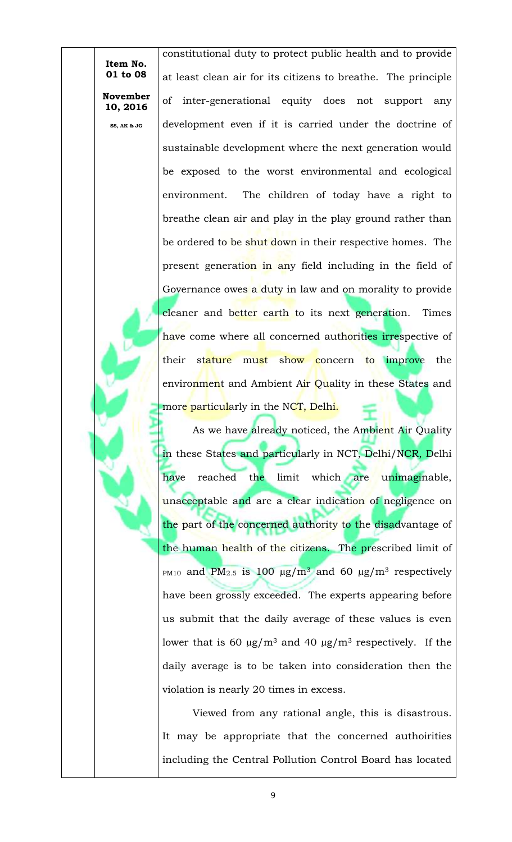> **10, 2016 SS, AK & JG**

**November** 

constitutional duty to protect public health and to provide at least clean air for its citizens to breathe. The principle of inter-generational equity does not support any development even if it is carried under the doctrine of sustainable development where the next generation would be exposed to the worst environmental and ecological environment. The children of today have a right to breathe clean air and play in the play ground rather than be ordered to be shut down in their respective homes. The present generation in any field including in the field of Governance owes a duty in law and on morality to provide cleaner and better earth to its next generation. Times have come where all concerned authorities irrespective of their stature must show concern to improve the environment and Ambient Air Quality in these States and more particularly in the NCT, Delhi.

As we have already noticed, the Ambient Air Quality in these States and particularly in NCT, Delhi/NCR, Delhi have reached the limit which are unimaginable, unacceptable and are a clear indication of negligence on the part of the concerned authority to the disadvantage of the human health of the citizens. The prescribed limit of PM10 and PM<sub>2.5</sub> is 100  $\mu$ g/m<sup>3</sup> and 60  $\mu$ g/m<sup>3</sup> respectively have been grossly exceeded. The experts appearing before us submit that the daily average of these values is even lower that is 60  $\mu$ g/m<sup>3</sup> and 40  $\mu$ g/m<sup>3</sup> respectively. If the daily average is to be taken into consideration then the violation is nearly 20 times in excess.

Viewed from any rational angle, this is disastrous. It may be appropriate that the concerned authoirities including the Central Pollution Control Board has located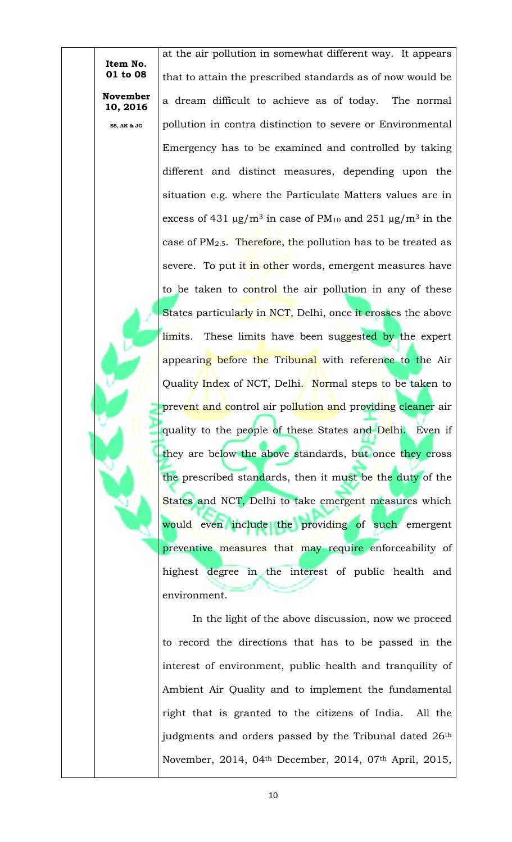**Item No. 01 to 08 November** 

**10, 2016**

**SS, AK & JG**

at the air pollution in somewhat different way. It appears that to attain the prescribed standards as of now would be a dream difficult to achieve as of today. The normal pollution in contra distinction to severe or Environmental Emergency has to be examined and controlled by taking different and distinct measures, depending upon the situation e.g. where the Particulate Matters values are in excess of 431  $\mu$ g/m<sup>3</sup> in case of PM<sub>10</sub> and 251  $\mu$ g/m<sup>3</sup> in the case of  $PM_{2.5}$ . Therefore, the pollution has to be treated as severe. To put it in other words, emergent measures have to be taken to control the air pollution in any of these States particularly in NCT, Delhi, once it crosses the above limits. These limits have been suggested by the expert appearing before the Tribunal with reference to the Air Quality Index of NCT, Delhi. Normal steps to be taken to prevent and control air pollution and providing cleaner air quality to the people of these States and Delhi. Even if they are below the above standards, but once they cross the prescribed standards, then it must be the duty of the States and NCT, Delhi to take emergent measures which would even include the providing of such emergent preventive measures that may require enforceability of highest degree in the interest of public health and environment.

In the light of the above discussion, now we proceed to record the directions that has to be passed in the interest of environment, public health and tranquility of Ambient Air Quality and to implement the fundamental right that is granted to the citizens of India. All the judgments and orders passed by the Tribunal dated 26<sup>th</sup> November, 2014, 04th December, 2014, 07th April, 2015,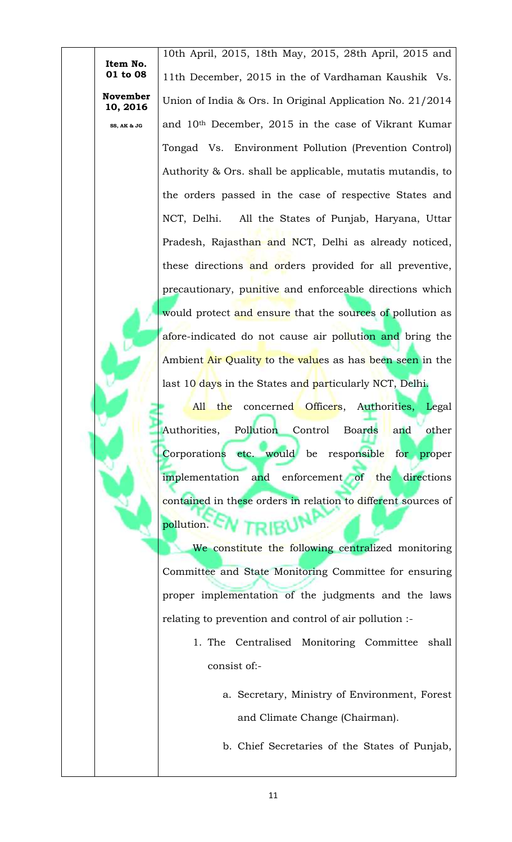> **10, 2016 SS, AK & JG**

**November** 

10th April, 2015, 18th May, 2015, 28th April, 2015 and 11th December, 2015 in the of Vardhaman Kaushik Vs. Union of India & Ors. In Original Application No. 21/2014 and 10th December, 2015 in the case of Vikrant Kumar Tongad Vs. Environment Pollution (Prevention Control) Authority & Ors. shall be applicable, mutatis mutandis, to the orders passed in the case of respective States and NCT, Delhi. All the States of Punjab, Haryana, Uttar Pradesh, Rajasthan and NCT, Delhi as already noticed, these directions and orders provided for all preventive, precautionary, punitive and enforceable directions which would protect and ensure that the sources of pollution as afore-indicated do not cause air pollution and bring the Ambient Air Quality to the values as has been seen in the last 10 days in the States and particularly NCT, Delhi.

All the concerned Officers, Authorities, Legal Authorities, Pollution Control Boards and other Corporations etc. would be responsible for proper implementation and enforcement of the directions contained in these orders in relation to different sources of pollution.

We constitute the following centralized monitoring Committee and State Monitoring Committee for ensuring proper implementation of the judgments and the laws relating to prevention and control of air pollution :-

- 1. The Centralised Monitoring Committee shall consist of:
	- a. Secretary, Ministry of Environment, Forest and Climate Change (Chairman).
	- b. Chief Secretaries of the States of Punjab,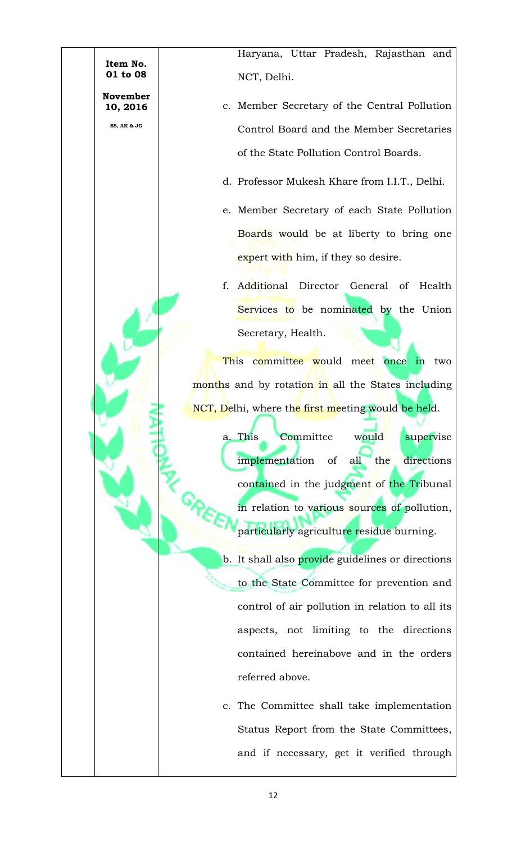Haryana, Uttar Pradesh, Rajasthan and NCT, Delhi.

**Item No. 01 to 08**

**November 10, 2016**

**SS, AK & JG**

- c. Member Secretary of the Central Pollution Control Board and the Member Secretaries of the State Pollution Control Boards.
- d. Professor Mukesh Khare from I.I.T., Delhi.
- e. Member Secretary of each State Pollution Boards would be at liberty to bring one expert with him, if they so desire.
- f. Additional Director General of Health Services to be nominated by the Union Secretary, Health.

This committee would meet once in two months and by rotation in all the States including NCT, Delhi, where the first meeting would be held.

> a. This Committee would supervise implementation of all the directions contained in the judgment of the Tribunal in relation to various sources of pollution, particularly agriculture residue burning.

> b. It shall also provide guidelines or directions to the State Committee for prevention and control of air pollution in relation to all its aspects, not limiting to the directions contained hereinabove and in the orders referred above.

> c. The Committee shall take implementation Status Report from the State Committees, and if necessary, get it verified through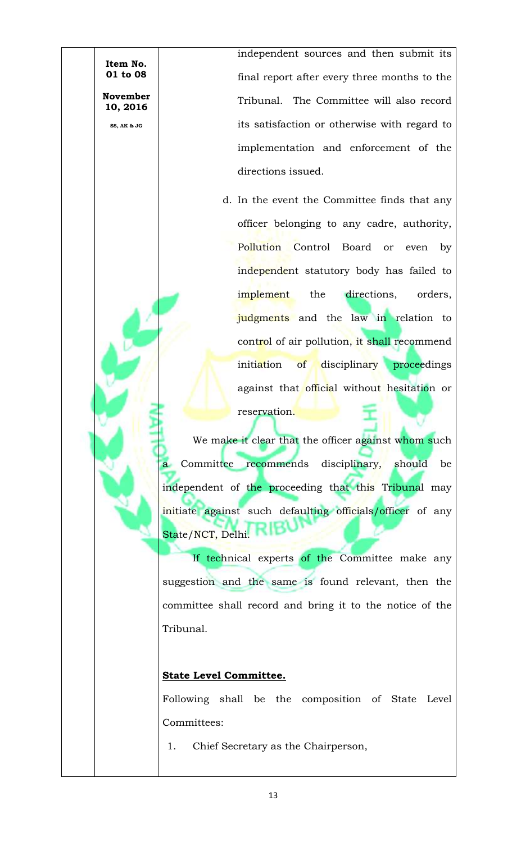independent sources and then submit its final report after every three months to the Tribunal. The Committee will also record its satisfaction or otherwise with regard to implementation and enforcement of the directions issued.

d. In the event the Committee finds that any officer belonging to any cadre, authority, Pollution Control Board or even by independent statutory body has failed to implement the directions, orders, judgments and the law in relation to control of air pollution, it shall recommend initiation of disciplinary proceedings against that official without hesitation or reservation.

We make it clear that the officer against whom such a Committee recommends disciplinary, should be independent of the proceeding that this Tribunal may initiate against such defaulting officials/officer of any State/NCT, Delhi.

If technical experts of the Committee make any suggestion and the same is found relevant, then the committee shall record and bring it to the notice of the Tribunal.

## **State Level Committee.**

**Item No. 01 to 08**

**November 10, 2016**

**SS, AK & JG**

Following shall be the composition of State Level Committees:

1. Chief Secretary as the Chairperson,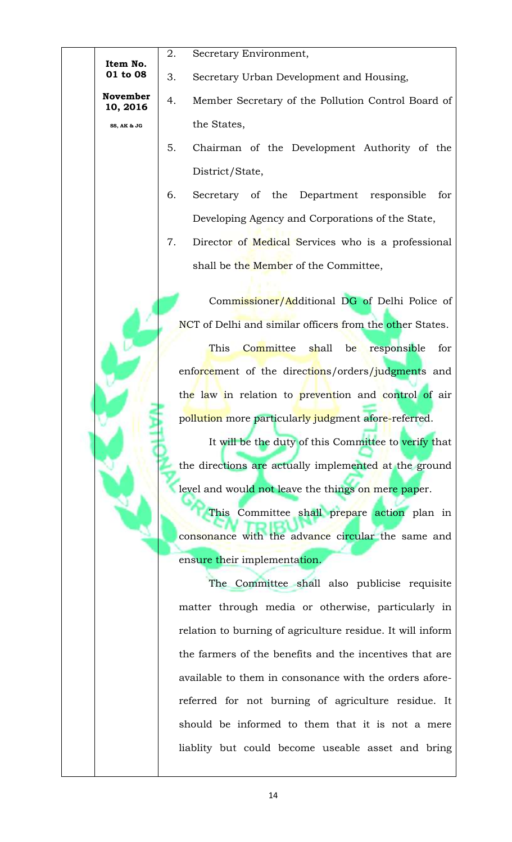| Item No.             | 2. | Secretary Environment,                                     |
|----------------------|----|------------------------------------------------------------|
| 01 to 08             | 3. | Secretary Urban Development and Housing,                   |
| November<br>10, 2016 | 4. | Member Secretary of the Pollution Control Board of         |
| SS, AK & JG          |    | the States,                                                |
|                      | 5. | Chairman of the Development Authority of the               |
|                      |    | District/State,                                            |
|                      | 6. | Secretary of the Department responsible<br>for             |
|                      |    | Developing Agency and Corporations of the State,           |
|                      | 7. | Director of Medical Services who is a professional         |
|                      |    | shall be the Member of the Committee,                      |
|                      |    | Commissioner/Additional DG of Delhi Police of              |
|                      |    | NCT of Delhi and similar officers from the other States.   |
|                      |    | <b>This</b><br>Committee shall be<br>responsible<br>for    |
|                      |    | enforcement of the directions/orders/judgments and         |
|                      |    | the law in relation to prevention and control of air       |
|                      |    | pollution more particularly judgment afore-referred.       |
|                      |    | It will be the duty of this Committee to verify that       |
|                      |    | the directions are actually implemented at the ground      |
|                      |    | level and would not leave the things on mere paper.        |
|                      |    | This Committee shall prepare action plan in                |
|                      |    | consonance with the advance circular the same and          |
|                      |    | ensure their implementation.                               |
|                      |    | The Committee shall also publicise requisite               |
|                      |    | matter through media or otherwise, particularly in         |
|                      |    | relation to burning of agriculture residue. It will inform |
|                      |    | the farmers of the benefits and the incentives that are    |
|                      |    | available to them in consonance with the orders afore-     |
|                      |    | referred for not burning of agriculture residue. It        |
|                      |    | should be informed to them that it is not a mere           |
|                      |    | liablity but could become useable asset and bring          |
|                      |    |                                                            |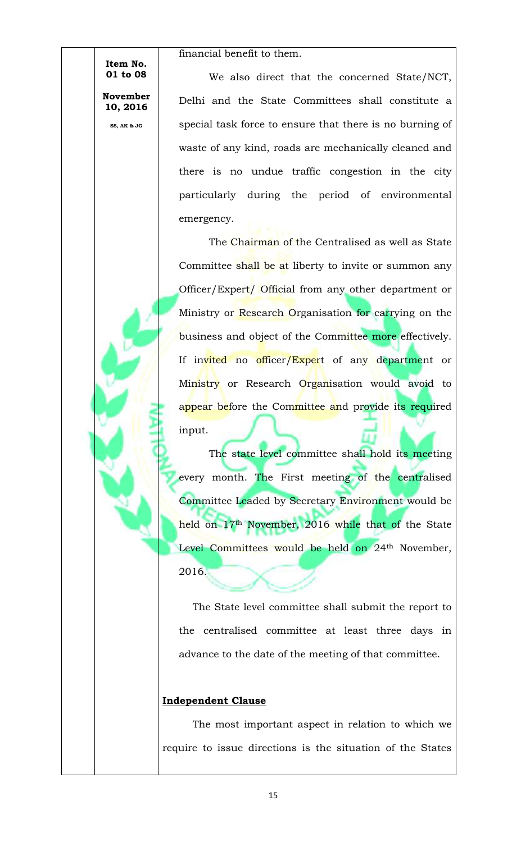financial benefit to them.

**November 10, 2016**

**Item No. 01 to 08**

**SS, AK & JG**

We also direct that the concerned State/NCT, Delhi and the State Committees shall constitute a special task force to ensure that there is no burning of waste of any kind, roads are mechanically cleaned and there is no undue traffic congestion in the city particularly during the period of environmental emergency.

The Chairman of the Centralised as well as State Committee shall be at liberty to invite or summon any Officer/Expert/ Official from any other department or Ministry or Research Organisation for carrying on the business and object of the Committee more effectively. If invited no officer/Expert of any department or Ministry or Research Organisation would avoid to appear before the Committee and provide its required input.

The state level committee shall hold its meeting every month. The First meeting of the centralised Committee Leaded by Secretary Environment would be held on 17<sup>th</sup> November, 2016 while that of the State Level Committees would be held on 24<sup>th</sup> November, 2016.

The State level committee shall submit the report to the centralised committee at least three days in advance to the date of the meeting of that committee.

## **Independent Clause**

The most important aspect in relation to which we require to issue directions is the situation of the States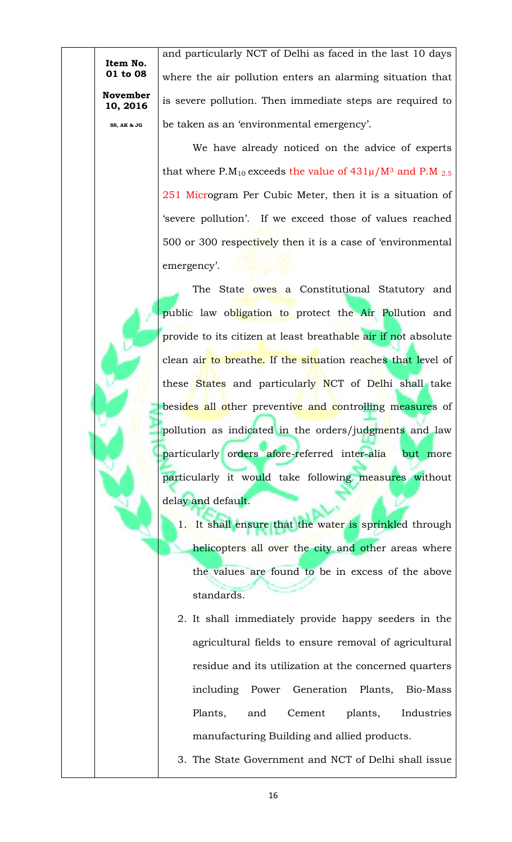**Item No. 01 to 08 November** 

**10, 2016 SS, AK & JG**

and particularly NCT of Delhi as faced in the last 10 days where the air pollution enters an alarming situation that is severe pollution. Then immediate steps are required to be taken as an 'environmental emergency'.

We have already noticed on the advice of experts that where P.M<sub>10</sub> exceeds the value of  $431\mu/M^3$  and P.M  $_{2.5}$ 251 Microgram Per Cubic Meter, then it is a situation of 'severe pollution'. If we exceed those of values reached 500 or 300 respectively then it is a case of 'environmental emergency'.

The State owes a Constitutional Statutory and public law obligation to protect the Air Pollution and provide to its citizen at least breathable air if not absolute clean air to breathe. If the situation reaches that level of these States and particularly NCT of Delhi shall take besides all other preventive and controlling measures of pollution as indicated in the orders/judgments and law particularly orders afore-referred inter-alia but more particularly it would take following measures without delay and default.

- 1. It shall ensure that the water is sprinkled through helicopters all over the city and other areas where the values are found to be in excess of the above standards.
- 2. It shall immediately provide happy seeders in the agricultural fields to ensure removal of agricultural residue and its utilization at the concerned quarters including Power Generation Plants, Bio-Mass Plants, and Cement plants, Industries manufacturing Building and allied products.
- 3. The State Government and NCT of Delhi shall issue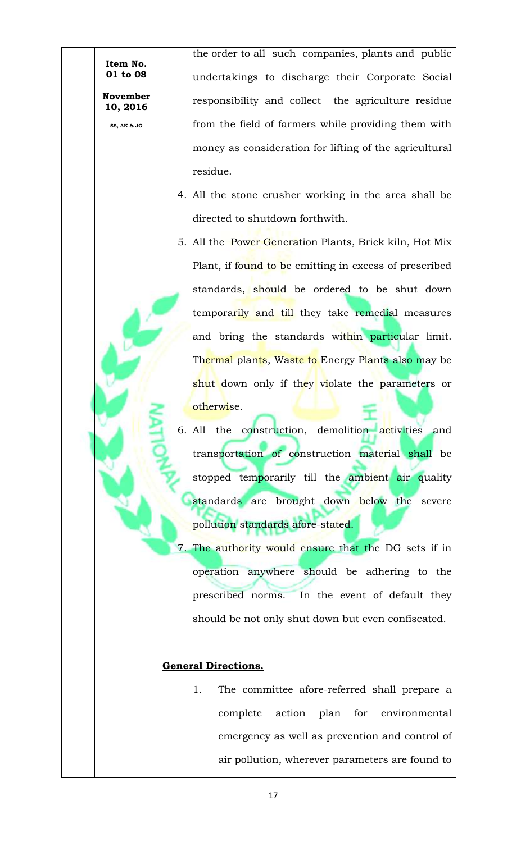**10, 2016**

**November** 

**SS, AK & JG**

the order to all such companies, plants and public undertakings to discharge their Corporate Social responsibility and collect the agriculture residue from the field of farmers while providing them with money as consideration for lifting of the agricultural residue.

- 4. All the stone crusher working in the area shall be directed to shutdown forthwith.
- 5. All the Power Generation Plants, Brick kiln, Hot Mix Plant, if found to be emitting in excess of prescribed standards, should be ordered to be shut down temporarily and till they take remedial measures and bring the standards within particular limit. Thermal plants, Waste to Energy Plants also may be shut down only if they violate the parameters or otherwise.
- 6. All the construction, demolition activities and transportation of construction material shall be stopped temporarily till the ambient air quality standards are brought down below the severe pollution standards afore-stated.
- 7. The authority would ensure that the DG sets if in operation anywhere should be adhering to the prescribed norms. In the event of default they should be not only shut down but even confiscated.

## **General Directions.**

1. The committee afore-referred shall prepare a complete action plan for environmental emergency as well as prevention and control of air pollution, wherever parameters are found to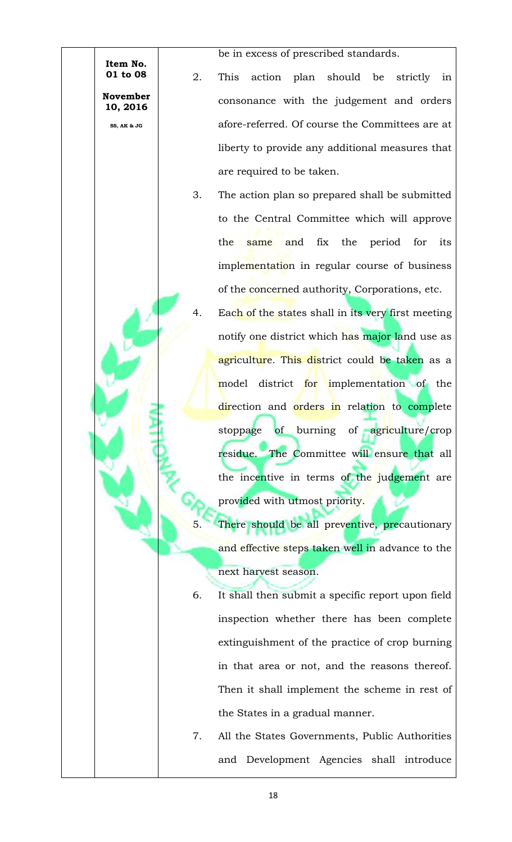> **November 10, 2016**

> > **SS, AK & JG**

be in excess of prescribed standards.

- 2. This action plan should be strictly in consonance with the judgement and orders afore-referred. Of course the Committees are at liberty to provide any additional measures that are required to be taken.
- 3. The action plan so prepared shall be submitted to the Central Committee which will approve the same and fix the period for its implementation in regular course of business of the concerned authority, Corporations, etc.
	- Each of the states shall in its very first meeting notify one district which has major land use as agriculture. This district could be taken as a model district for implementation of the direction and orders in relation to complete stoppage of burning of agriculture/crop residue. The Committee will ensure that all the incentive in terms of the judgement are provided with utmost priority.
	- There should be all preventive, precautionary and effective steps taken well in advance to the next harvest season.
- 6. It shall then submit a specific report upon field inspection whether there has been complete extinguishment of the practice of crop burning in that area or not, and the reasons thereof. Then it shall implement the scheme in rest of the States in a gradual manner.
- 7. All the States Governments, Public Authorities and Development Agencies shall introduce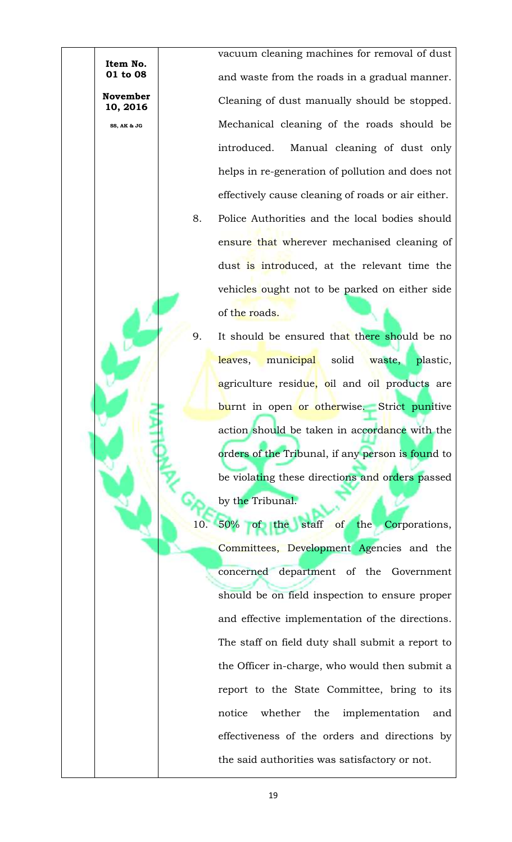vacuum cleaning machines for removal of dust and waste from the roads in a gradual manner. Cleaning of dust manually should be stopped. Mechanical cleaning of the roads should be introduced. Manual cleaning of dust only helps in re-generation of pollution and does not effectively cause cleaning of roads or air either. 8. Police Authorities and the local bodies should ensure that wherever mechanised cleaning of dust is introduced, at the relevant time the

**Item No. 01 to 08**

**November 10, 2016**

**SS, AK & JG**

9. It should be ensured that there should be no leaves, municipal solid waste, plastic, agriculture residue, oil and oil products are burnt in open or otherwise. Strict punitive action should be taken in accordance with the orders of the Tribunal, if any person is found to be violating these directions and orders passed by the Tribunal.

vehicles ought not to be parked on either side

of the roads.

50% of the staff of the Corporations, Committees, Development Agencies and the concerned department of the Government should be on field inspection to ensure proper and effective implementation of the directions. The staff on field duty shall submit a report to the Officer in-charge, who would then submit a report to the State Committee, bring to its notice whether the implementation and effectiveness of the orders and directions by the said authorities was satisfactory or not.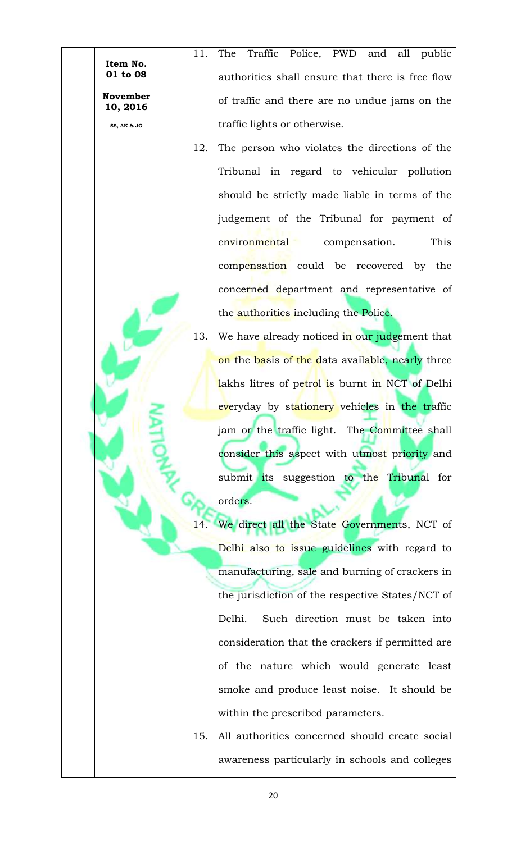**01 to 08 November 10, 2016** 11. The Traffic Police, PWD and all public authorities shall ensure that there is free flow of traffic and there are no undue jams on the traffic lights or otherwise. 12. The person who violates the directions of the Tribunal in regard to vehicular pollution should be strictly made liable in terms of the judgement of the Tribunal for payment of

**Item No.** 

**SS, AK & JG**

- environmental compensation. This compensation could be recovered by the concerned department and representative of the authorities including the Police.
- 13. We have already noticed in our judgement that on the basis of the data available, nearly three lakhs litres of petrol is burnt in NCT of Delhi everyday by stationery vehicles in the traffic jam or the traffic light. The Committee shall consider this aspect with utmost priority and submit its suggestion to the Tribunal for orders.

We direct all the State Governments, NCT of Delhi also to issue guidelines with regard to manufacturing, sale and burning of crackers in the jurisdiction of the respective States/NCT of Delhi. Such direction must be taken into consideration that the crackers if permitted are of the nature which would generate least smoke and produce least noise. It should be within the prescribed parameters.

15. All authorities concerned should create social awareness particularly in schools and colleges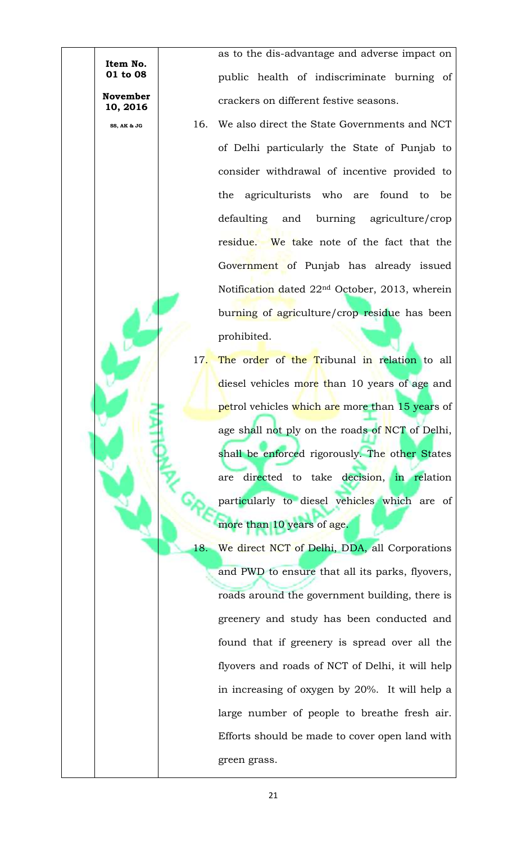**Item No. 01 to 08 November** 

**10, 2016 SS, AK & JG**

as to the dis-advantage and adverse impact on public health of indiscriminate burning of crackers on different festive seasons.

- 16. We also direct the State Governments and NCT of Delhi particularly the State of Punjab to consider withdrawal of incentive provided to the agriculturists who are found to be defaulting and burning agriculture/crop residue. We take note of the fact that the Government of Punjab has already issued Notification dated 22nd October, 2013, wherein burning of agriculture/crop residue has been prohibited.
- 17. The order of the Tribunal in relation to all diesel vehicles more than 10 years of age and petrol vehicles which are more than 15 years of age shall not ply on the roads of NCT of Delhi, shall be enforced rigorously. The other States are directed to take decision, in relation particularly to diesel vehicles which are of more than 10 years of age.

18. We direct NCT of Delhi, DDA, all Corporations and PWD to ensure that all its parks, flyovers, roads around the government building, there is greenery and study has been conducted and found that if greenery is spread over all the flyovers and roads of NCT of Delhi, it will help in increasing of oxygen by 20%. It will help a large number of people to breathe fresh air. Efforts should be made to cover open land with green grass.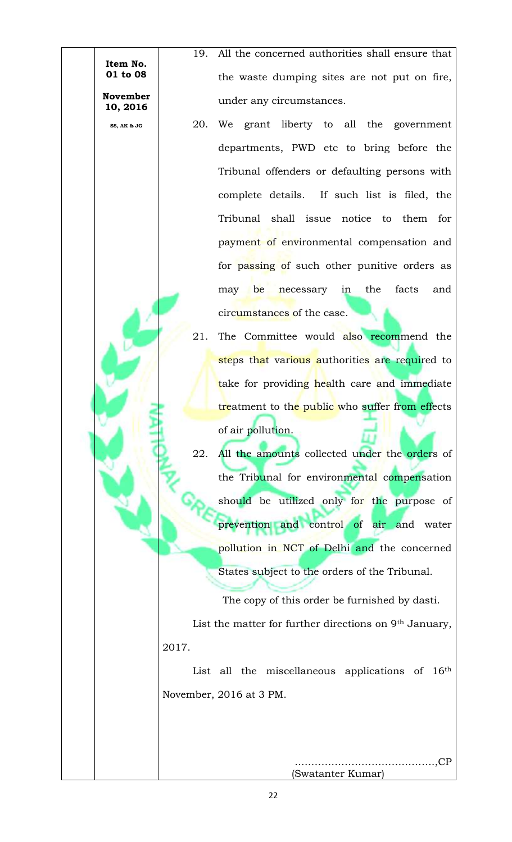**Item No. 01 to 08 November** 

**10, 2016 SS, AK & JG**

19. All the concerned authorities shall ensure that the waste dumping sites are not put on fire, under any circumstances.

- 20. We grant liberty to all the government departments, PWD etc to bring before the Tribunal offenders or defaulting persons with complete details. If such list is filed, the Tribunal shall issue notice to them for payment of environmental compensation and for passing of such other punitive orders as may be necessary in the facts and circumstances of the case.
- 21. The Committee would also recommend the steps that various authorities are required to take for providing health care and immediate treatment to the public who suffer from effects of air pollution.
- 22. All the amounts collected under the orders of the Tribunal for environmental compensation should be utilized only for the purpose of prevention and control of air and water pollution in NCT of Delhi and the concerned States subject to the orders of the Tribunal.

The copy of this order be furnished by dasti. List the matter for further directions on 9th January, 2017.

List all the miscellaneous applications of 16<sup>th</sup> November, 2016 at 3 PM.

> ..………………………………….,CP (Swatanter Kumar)